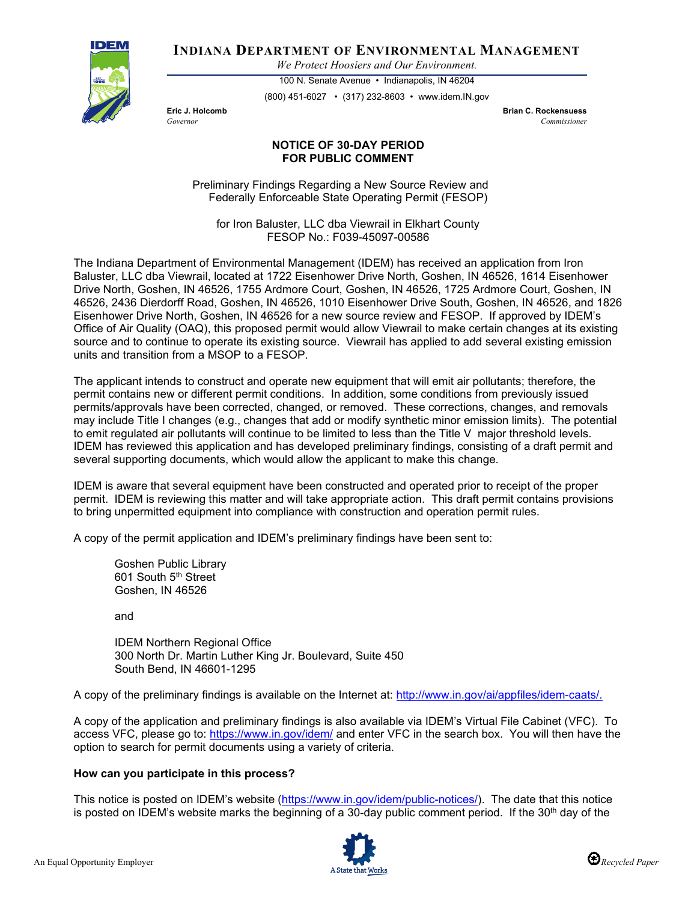

**INDIANA DEPARTMENT OF ENVIRONMENTAL MANAGEMENT**

*We Protect Hoosiers and Our Environment.*

100 N. Senate Avenue • Indianapolis, IN 46204 (800) 451-6027 • (317) 232-8603 • www.idem.IN.gov

**Eric J. Holcomb Brian C. Rockensuess** *Governor Commissioner* 

## **NOTICE OF 30-DAY PERIOD FOR PUBLIC COMMENT**

Preliminary Findings Regarding a New Source Review and Federally Enforceable State Operating Permit (FESOP)

for Iron Baluster, LLC dba Viewrail in Elkhart County FESOP No.: F039-45097-00586

The Indiana Department of Environmental Management (IDEM) has received an application from Iron Baluster, LLC dba Viewrail, located at 1722 Eisenhower Drive North, Goshen, IN 46526, 1614 Eisenhower Drive North, Goshen, IN 46526, 1755 Ardmore Court, Goshen, IN 46526, 1725 Ardmore Court, Goshen, IN 46526, 2436 Dierdorff Road, Goshen, IN 46526, 1010 Eisenhower Drive South, Goshen, IN 46526, and 1826 Eisenhower Drive North, Goshen, IN 46526 for a new source review and FESOP. If approved by IDEM's Office of Air Quality (OAQ), this proposed permit would allow Viewrail to make certain changes at its existing source and to continue to operate its existing source. Viewrail has applied to add several existing emission units and transition from a MSOP to a FESOP.

The applicant intends to construct and operate new equipment that will emit air pollutants; therefore, the permit contains new or different permit conditions. In addition, some conditions from previously issued permits/approvals have been corrected, changed, or removed. These corrections, changes, and removals may include Title I changes (e.g., changes that add or modify synthetic minor emission limits). The potential to emit regulated air pollutants will continue to be limited to less than the Title V major threshold levels. IDEM has reviewed this application and has developed preliminary findings, consisting of a draft permit and several supporting documents, which would allow the applicant to make this change.

IDEM is aware that several equipment have been constructed and operated prior to receipt of the proper permit. IDEM is reviewing this matter and will take appropriate action. This draft permit contains provisions to bring unpermitted equipment into compliance with construction and operation permit rules.

A copy of the permit application and IDEM's preliminary findings have been sent to:

Goshen Public Library 601 South 5<sup>th</sup> Street Goshen, IN 46526

and

IDEM Northern Regional Office 300 North Dr. Martin Luther King Jr. Boulevard, Suite 450 South Bend, IN 46601-1295

A copy of the preliminary findings is available on the Internet at: [http://www.in.gov/ai/appfiles/idem-caats/.](http://www.in.gov/ai/appfiles/idem-caats/)

A copy of the application and preliminary findings is also available via IDEM's Virtual File Cabinet (VFC). To access VFC, please go to:<https://www.in.gov/idem/> and enter VFC in the search box. You will then have the option to search for permit documents using a variety of criteria.

## **How can you participate in this process?**

This notice is posted on IDEM's website [\(https://www.in.gov/idem/public-notices/\)](https://www.in.gov/idem/public-notices/). The date that this notice is posted on IDEM's website marks the beginning of a 30-day public comment period. If the 30<sup>th</sup> day of the